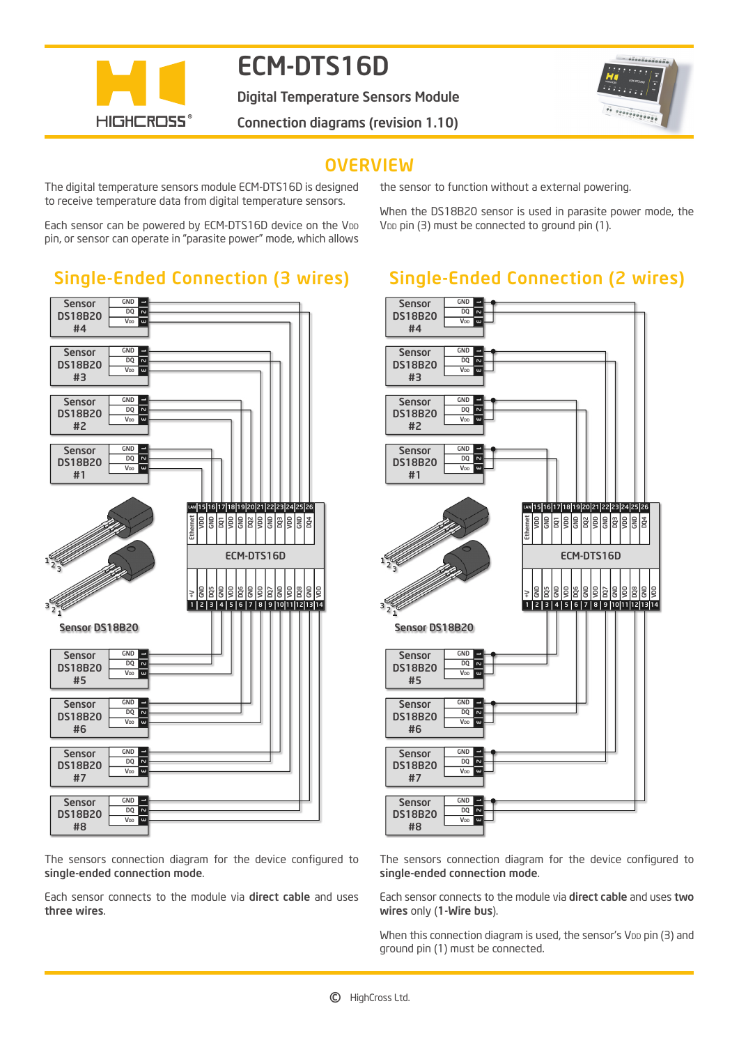

# ECM-DTS16D

Digital Temperature Sensors Module



Connection diagrams (revision 1.10)

### **OVERVIEW**

The digital temperature sensors module ECM-DTS16D is designed to receive temperature data from digital temperature sensors.

Each sensor can be powered by ECM-DTS16D device on the V<sub>DD</sub> pin, or sensor can operate in "parasite power" mode, which allows

### Single-Ended Connection (3 wires)



The sensors connection diagram for the device configured to single-ended connection mode.

Each sensor connects to the module via direct cable and uses three wires.

the sensor to function without a external powering.

When the DS18B20 sensor is used in parasite power mode, the V<sub>DD</sub> pin  $(3)$  must be connected to ground pin  $(1)$ .

## Single-Ended Connection (2 wires)



The sensors connection diagram for the device configured to single-ended connection mode.

Each sensor connects to the module via direct cable and uses two wires only (1-Wire bus).

When this connection diagram is used, the sensor's V<sub>DD</sub> pin (3) and ground pin (1) must be connected.